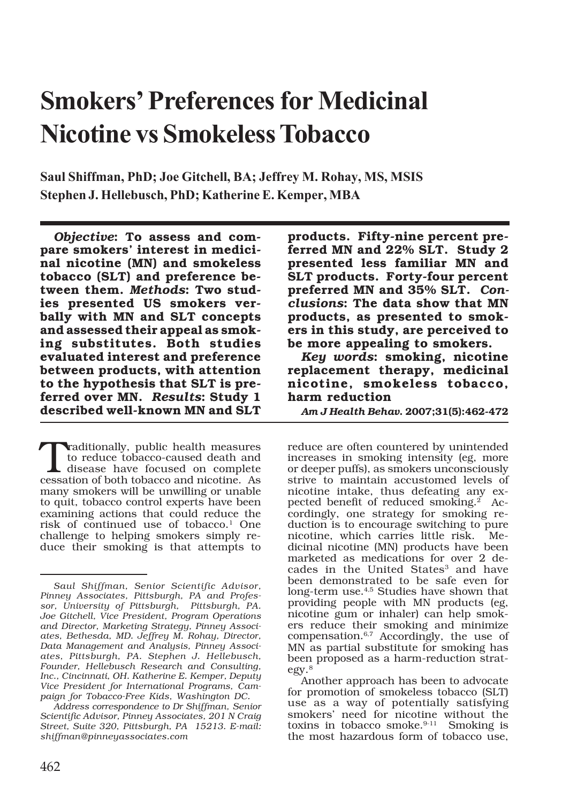# **Smokers' Preferences for Medicinal Nicotine vs Smokeless Tobacco**

**Saul Shiffman, PhD; Joe Gitchell, BA; Jeffrey M. Rohay, MS, MSIS Stephen J. Hellebusch, PhD; Katherine E. Kemper, MBA**

*Objective***: To assess and compare smokers' interest in medicinal nicotine (MN) and smokeless tobacco (SLT) and preference between them.** *Methods***: Two studies presented US smokers verbally with MN and SLT concepts and assessed their appeal as smoking substitutes. Both studies evaluated interest and preference between products, with attention to the hypothesis that SLT is preferred over MN.** *Results***: Study 1 described well-known MN and SLT**

 $\begin{array}{l} \begin{array}{l} \text{raditionally, public health measures} \\ \text{to reduce to bacco-caused death and} \\ \text{disease have focused on complete} \\ \text{cession of both to bacco and notice.} \end{array} \end{array}$ to reduce tobacco-caused death and cessation of both tobacco and nicotine. As many smokers will be unwilling or unable to quit, tobacco control experts have been examining actions that could reduce the risk of continued use of tobacco.1 One challenge to helping smokers simply reduce their smoking is that attempts to

*Address correspondence to Dr Shiffman, Senior Scientific Advisor, Pinney Associates, 201 N Craig Street, Suite 320, Pittsburgh, PA 15213. E-mail: shiffman@pinneyassociates.com*

**products. Fifty-nine percent preferred MN and 22% SLT. Study 2 presented less familiar MN and SLT products. Forty-four percent preferred MN and 35% SLT.** *Conclusions***: The data show that MN products, as presented to smokers in this study, are perceived to be more appealing to smokers.**

*Key words***: smoking, nicotine replacement therapy, medicinal nicotine, smokeless tobacco, harm reduction**

*Am J Health Behav***. 2007;31(5):462-472**

reduce are often countered by unintended increases in smoking intensity (eg, more or deeper puffs), as smokers unconsciously strive to maintain accustomed levels of nicotine intake, thus defeating any expected benefit of reduced smoking.<sup>2</sup> Accordingly, one strategy for smoking reduction is to encourage switching to pure nicotine, which carries little risk. Medicinal nicotine (MN) products have been marketed as medications for over 2 decades in the United States<sup>3</sup> and have been demonstrated to be safe even for long-term use.4,5 Studies have shown that providing people with MN products (eg, nicotine gum or inhaler) can help smokers reduce their smoking and minimize compensation.6,7 Accordingly, the use of MN as partial substitute for smoking has been proposed as a harm-reduction strategy.8

*Saul Shiffman, Senior Scientific Advisor, Pinney Associates, Pittsburgh, PA and Professor, University of Pittsburgh, Pittsburgh, PA. Joe Gitchell, Vice President, Program Operations and Director, Marketing Strategy, Pinney Associates, Bethesda, MD. Jeffrey M. Rohay, Director, Data Management and Analysis, Pinney Associates, Pittsburgh, PA. Stephen J. Hellebusch, Founder, Hellebusch Research and Consulting, Inc., Cincinnati, OH. Katherine E. Kemper, Deputy Vice President for International Programs, Campaign for Tobacco-Free Kids, Washington DC.*

Another approach has been to advocate for promotion of smokeless tobacco (SLT) use as a way of potentially satisfying smokers' need for nicotine without the toxins in tobacco smoke.<sup>9-11</sup> Smoking is the most hazardous form of tobacco use,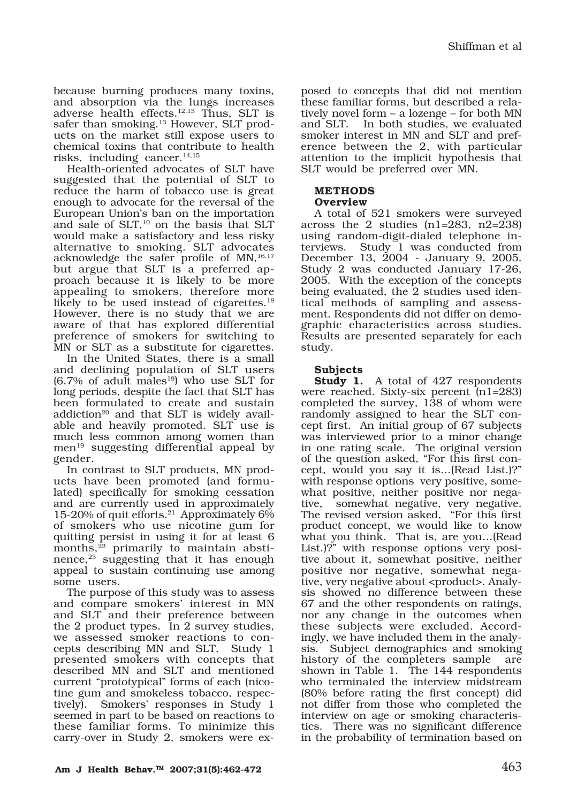because burning produces many toxins, and absorption via the lungs increases adverse health effects.12,13 Thus, SLT is safer than smoking.<sup>13</sup> However, SLT products on the market still expose users to chemical toxins that contribute to health risks, including cancer.14,15

Health-oriented advocates of SLT have suggested that the potential of SLT to reduce the harm of tobacco use is great enough to advocate for the reversal of the European Union's ban on the importation and sale of  $SLT$ ,<sup>10</sup> on the basis that SLT would make a satisfactory and less risky alternative to smoking. SLT advocates acknowledge the safer profile of MN,<sup>16,17</sup> but argue that SLT is a preferred approach because it is likely to be more appealing to smokers, therefore more likely to be used instead of cigarettes.<sup>18</sup> However, there is no study that we are aware of that has explored differential preference of smokers for switching to MN or SLT as a substitute for cigarettes.

In the United States, there is a small and declining population of SLT users  $(6.7\%$  of adult males<sup>19</sup>) who use SLT for long periods, despite the fact that SLT has been formulated to create and sustain addiction<sup>20</sup> and that SLT is widely available and heavily promoted. SLT use is much less common among women than men<sup>19</sup> suggesting differential appeal by gender.

In contrast to SLT products, MN products have been promoted (and formulated) specifically for smoking cessation and are currently used in approximately 15-20% of quit efforts.21 Approximately 6% of smokers who use nicotine gum for quitting persist in using it for at least 6 months,<sup>22</sup> primarily to maintain abstinence,<sup>23</sup> suggesting that it has enough appeal to sustain continuing use among some users.

The purpose of this study was to assess and compare smokers' interest in MN and SLT and their preference between the 2 product types. In 2 survey studies, we assessed smoker reactions to concepts describing MN and SLT. Study 1 presented smokers with concepts that described MN and SLT and mentioned current "prototypical" forms of each (nicotine gum and smokeless tobacco, respectively). Smokers' responses in Study 1 seemed in part to be based on reactions to these familiar forms. To minimize this carry-over in Study 2, smokers were ex-

posed to concepts that did not mention these familiar forms, but described a relatively novel form – a lozenge – for both MN and SLT. In both studies, we evaluated smoker interest in MN and SLT and preference between the 2, with particular attention to the implicit hypothesis that SLT would be preferred over MN.

# **METHODS**

### **Overview**

A total of 521 smokers were surveyed across the 2 studies (n1=283, n2=238) using random-digit-dialed telephone interviews. Study 1 was conducted from December 13, 2004 - January 9, 2005. Study 2 was conducted January 17-26, 2005. With the exception of the concepts being evaluated, the 2 studies used identical methods of sampling and assessment. Respondents did not differ on demographic characteristics across studies. Results are presented separately for each study.

## **Subjects**

**Study 1.** A total of 427 respondents were reached. Sixty-six percent (n1=283) completed the survey, 138 of whom were randomly assigned to hear the SLT concept first. An initial group of 67 subjects was interviewed prior to a minor change in one rating scale. The original version of the question asked, "For this first concept, would you say it is…(Read List.)?" with response options very positive, somewhat positive, neither positive nor negative, somewhat negative, very negative. The revised version asked, "For this first product concept, we would like to know what you think. That is, are you…(Read List.)?" with response options very positive about it, somewhat positive, neither positive nor negative, somewhat negative, very negative about <product>. Analysis showed no difference between these 67 and the other respondents on ratings, nor any change in the outcomes when these subjects were excluded. Accordingly, we have included them in the analysis. Subject demographics and smoking history of the completers sample are shown in Table 1. The 144 respondents who terminated the interview midstream (80% before rating the first concept) did not differ from those who completed the interview on age or smoking characteristics. There was no significant difference in the probability of termination based on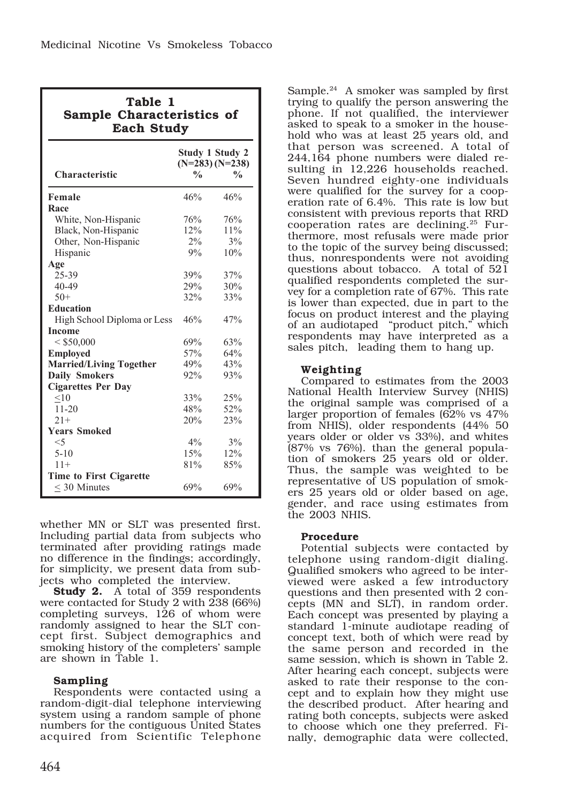| Table 1<br>Sample Characteristics of<br><b>Each Study</b> |                                                                               |     |  |  |  |  |
|-----------------------------------------------------------|-------------------------------------------------------------------------------|-----|--|--|--|--|
| Characteristic                                            | <b>Study 1 Study 2</b><br>$(N=283) (N=238)$<br>$\frac{0}{0}$<br>$\frac{0}{0}$ |     |  |  |  |  |
| Female<br>Race                                            | 46%                                                                           | 46% |  |  |  |  |
| White, Non-Hispanic                                       | 76%                                                                           | 76% |  |  |  |  |
| Black, Non-Hispanic                                       | 12%                                                                           | 11% |  |  |  |  |
| Other, Non-Hispanic                                       | $2\%$                                                                         | 3%  |  |  |  |  |
| Hispanic                                                  | 9%                                                                            | 10% |  |  |  |  |
| Age                                                       |                                                                               |     |  |  |  |  |
| 25-39                                                     | 39%                                                                           | 37% |  |  |  |  |
| 40-49                                                     | 29%                                                                           | 30% |  |  |  |  |
| $50+$                                                     | 32%                                                                           | 33% |  |  |  |  |
| <b>Education</b>                                          |                                                                               |     |  |  |  |  |
| High School Diploma or Less                               | 46%                                                                           | 47% |  |  |  |  |
| <b>Income</b>                                             |                                                                               |     |  |  |  |  |
| < \$50,000                                                | 69%                                                                           | 63% |  |  |  |  |
| <b>Employed</b>                                           | 57%                                                                           | 64% |  |  |  |  |
| <b>Married/Living Together</b>                            | 49%                                                                           | 43% |  |  |  |  |
| <b>Daily Smokers</b>                                      | 92%                                                                           | 93% |  |  |  |  |
| <b>Cigarettes Per Day</b>                                 |                                                                               |     |  |  |  |  |
| < 10                                                      | 33%                                                                           | 25% |  |  |  |  |
| $11 - 20$                                                 | 48%                                                                           | 52% |  |  |  |  |
| $21+$                                                     | 20%                                                                           | 23% |  |  |  |  |
| <b>Years Smoked</b>                                       |                                                                               |     |  |  |  |  |
| $\leq 5$                                                  | $4\%$                                                                         | 3%  |  |  |  |  |
| $5 - 10$                                                  | 15%                                                                           | 12% |  |  |  |  |
| $11+$                                                     | 81%                                                                           | 85% |  |  |  |  |
| <b>Time to First Cigarette</b>                            |                                                                               |     |  |  |  |  |
| $<$ 30 Minutes                                            | 69%                                                                           | 69% |  |  |  |  |

whether MN or SLT was presented first. Including partial data from subjects who terminated after providing ratings made no difference in the findings; accordingly, for simplicity, we present data from subjects who completed the interview.

**Study 2.** A total of 359 respondents were contacted for Study 2 with 238 (66%) completing surveys, 126 of whom were randomly assigned to hear the SLT concept first. Subject demographics and smoking history of the completers' sample are shown in Table 1.

## **Sampling**

Respondents were contacted using a random-digit-dial telephone interviewing system using a random sample of phone numbers for the contiguous United States acquired from Scientific Telephone

Sample.<sup>24</sup> A smoker was sampled by first trying to qualify the person answering the phone. If not qualified, the interviewer asked to speak to a smoker in the household who was at least 25 years old, and that person was screened. A total of 244,164 phone numbers were dialed resulting in 12,226 households reached. Seven hundred eighty-one individuals were qualified for the survey for a cooperation rate of 6.4%. This rate is low but consistent with previous reports that RRD cooperation rates are declining.25 Furthermore, most refusals were made prior to the topic of the survey being discussed; thus, nonrespondents were not avoiding questions about tobacco. A total of 521 qualified respondents completed the survey for a completion rate of 67%. This rate is lower than expected, due in part to the focus on product interest and the playing of an audiotaped "product pitch," which respondents may have interpreted as a sales pitch, leading them to hang up.

## **Weighting**

Compared to estimates from the 2003 National Health Interview Survey (NHIS) the original sample was comprised of a larger proportion of females (62% vs 47% from NHIS), older respondents (44% 50 years older or older vs 33%), and whites (87% vs 76%). than the general population of smokers 25 years old or older. Thus, the sample was weighted to be representative of US population of smokers 25 years old or older based on age, gender, and race using estimates from the 2003 NHIS.

### **Procedure**

Potential subjects were contacted by telephone using random-digit dialing. Qualified smokers who agreed to be interviewed were asked a few introductory questions and then presented with 2 concepts (MN and SLT), in random order. Each concept was presented by playing a standard 1-minute audiotape reading of concept text, both of which were read by the same person and recorded in the same session, which is shown in Table 2. After hearing each concept, subjects were asked to rate their response to the concept and to explain how they might use the described product. After hearing and rating both concepts, subjects were asked to choose which one they preferred. Finally, demographic data were collected,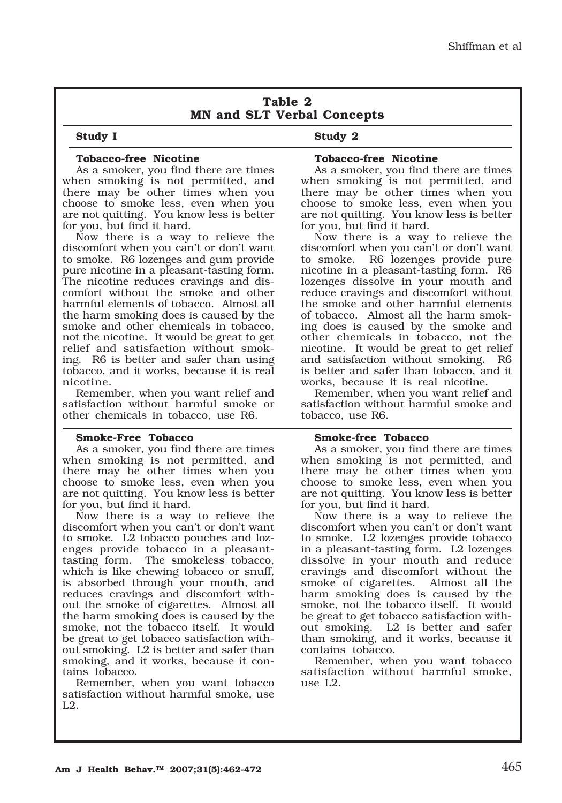## **Table 2 MN and SLT Verbal Concepts**

#### **Study I**

## **Study 2**

#### **Tobacco-free Nicotine**

As a smoker, you find there are times when smoking is not permitted, and there may be other times when you choose to smoke less, even when you are not quitting. You know less is better for you, but find it hard.

Now there is a way to relieve the discomfort when you can't or don't want to smoke. R6 lozenges and gum provide pure nicotine in a pleasant-tasting form. The nicotine reduces cravings and discomfort without the smoke and other harmful elements of tobacco. Almost all the harm smoking does is caused by the smoke and other chemicals in tobacco, not the nicotine. It would be great to get relief and satisfaction without smoking. R6 is better and safer than using tobacco, and it works, because it is real nicotine.

Remember, when you want relief and satisfaction without harmful smoke or other chemicals in tobacco, use R6.

#### **Smoke-Free Tobacco**

As a smoker, you find there are times when smoking is not permitted, and there may be other times when you choose to smoke less, even when you are not quitting. You know less is better for you, but find it hard.

Now there is a way to relieve the discomfort when you can't or don't want to smoke. L2 tobacco pouches and lozenges provide tobacco in a pleasanttasting form. The smokeless tobacco, which is like chewing tobacco or snuff, is absorbed through your mouth, and reduces cravings and discomfort without the smoke of cigarettes. Almost all the harm smoking does is caused by the smoke, not the tobacco itself. It would be great to get tobacco satisfaction without smoking. L2 is better and safer than smoking, and it works, because it contains tobacco.

Remember, when you want tobacco satisfaction without harmful smoke, use L2.

## **Tobacco-free Nicotine**

As a smoker, you find there are times when smoking is not permitted, and there may be other times when you choose to smoke less, even when you are not quitting. You know less is better for you, but find it hard.

Now there is a way to relieve the discomfort when you can't or don't want to smoke. R6 lozenges provide pure nicotine in a pleasant-tasting form. R6 lozenges dissolve in your mouth and reduce cravings and discomfort without the smoke and other harmful elements of tobacco. Almost all the harm smoking does is caused by the smoke and other chemicals in tobacco, not the nicotine. It would be great to get relief and satisfaction without smoking. R6 is better and safer than tobacco, and it works, because it is real nicotine.

Remember, when you want relief and satisfaction without harmful smoke and tobacco, use R6.

#### **Smoke-free Tobacco**

As a smoker, you find there are times when smoking is not permitted, and there may be other times when you choose to smoke less, even when you are not quitting. You know less is better for you, but find it hard.

Now there is a way to relieve the discomfort when you can't or don't want to smoke. L2 lozenges provide tobacco in a pleasant-tasting form. L2 lozenges dissolve in your mouth and reduce cravings and discomfort without the smoke of cigarettes. Almost all the harm smoking does is caused by the smoke, not the tobacco itself. It would be great to get tobacco satisfaction without smoking. L2 is better and safer than smoking, and it works, because it contains tobacco.

Remember, when you want tobacco satisfaction without harmful smoke, use L2.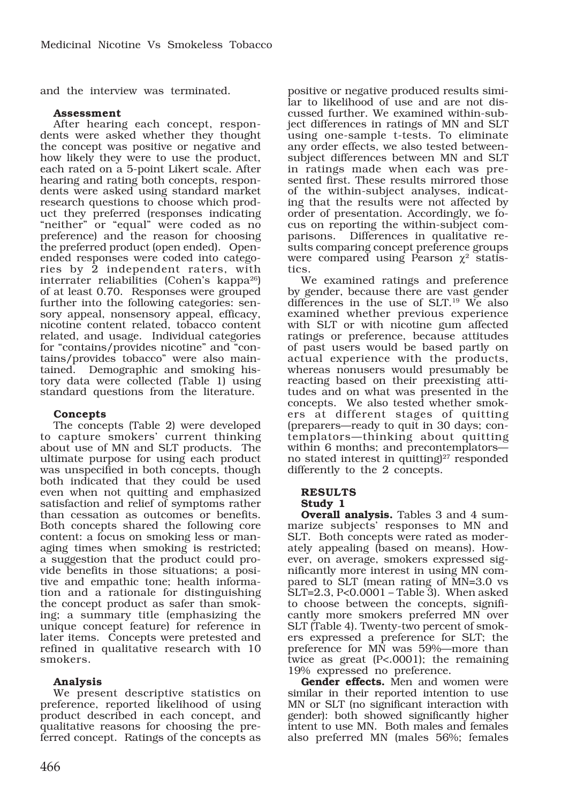and the interview was terminated.

### **Assessment**

After hearing each concept, respondents were asked whether they thought the concept was positive or negative and how likely they were to use the product, each rated on a 5-point Likert scale. After hearing and rating both concepts, respondents were asked using standard market research questions to choose which product they preferred (responses indicating "neither" or "equal" were coded as no preference) and the reason for choosing the preferred product (open ended). Openended responses were coded into categories by 2 independent raters, with interrater reliabilities (Cohen's kappa $^{26}$ ) of at least 0.70. Responses were grouped further into the following categories: sensory appeal, nonsensory appeal, efficacy, nicotine content related, tobacco content related, and usage. Individual categories for "contains/provides nicotine" and "contains/provides tobacco" were also maintained. Demographic and smoking history data were collected (Table 1) using standard questions from the literature.

### **Concepts**

The concepts (Table 2) were developed to capture smokers' current thinking about use of MN and SLT products. The ultimate purpose for using each product was unspecified in both concepts, though both indicated that they could be used even when not quitting and emphasized satisfaction and relief of symptoms rather than cessation as outcomes or benefits. Both concepts shared the following core content: a focus on smoking less or managing times when smoking is restricted; a suggestion that the product could provide benefits in those situations; a positive and empathic tone; health information and a rationale for distinguishing the concept product as safer than smoking; a summary title (emphasizing the unique concept feature) for reference in later items. Concepts were pretested and refined in qualitative research with 10 smokers.

### **Analysis**

We present descriptive statistics on preference, reported likelihood of using product described in each concept, and qualitative reasons for choosing the preferred concept. Ratings of the concepts as

positive or negative produced results similar to likelihood of use and are not discussed further. We examined within-subject differences in ratings of MN and SLT using one-sample t-tests. To eliminate any order effects, we also tested betweensubject differences between MN and SLT in ratings made when each was presented first. These results mirrored those of the within-subject analyses, indicating that the results were not affected by order of presentation. Accordingly, we focus on reporting the within-subject comparisons. Differences in qualitative results comparing concept preference groups were compared using Pearson  $\chi^2$  statistics.

We examined ratings and preference by gender, because there are vast gender differences in the use of SLT.19 We also examined whether previous experience with SLT or with nicotine gum affected ratings or preference, because attitudes of past users would be based partly on actual experience with the products, whereas nonusers would presumably be reacting based on their preexisting attitudes and on what was presented in the concepts. We also tested whether smokers at different stages of quitting (preparers—ready to quit in 30 days; contemplators—thinking about quitting within 6 months; and precontemplatorsno stated interest in quitting $2^7$  responded differently to the 2 concepts.

#### **RESULTS Study 1**

**Overall analysis.** Tables 3 and 4 summarize subjects' responses to MN and SLT. Both concepts were rated as moderately appealing (based on means). However, on average, smokers expressed significantly more interest in using MN compared to SLT (mean rating of MN=3.0 vs SLT=2.3, P<0.0001 – Table 3). When asked to choose between the concepts, significantly more smokers preferred MN over SLT (Table 4). Twenty-two percent of smokers expressed a preference for SLT; the preference for MN was 59%—more than twice as great (P<.0001); the remaining 19% expressed no preference.

**Gender effects.** Men and women were similar in their reported intention to use MN or SLT (no significant interaction with gender): both showed significantly higher intent to use MN. Both males and females also preferred MN (males 56%; females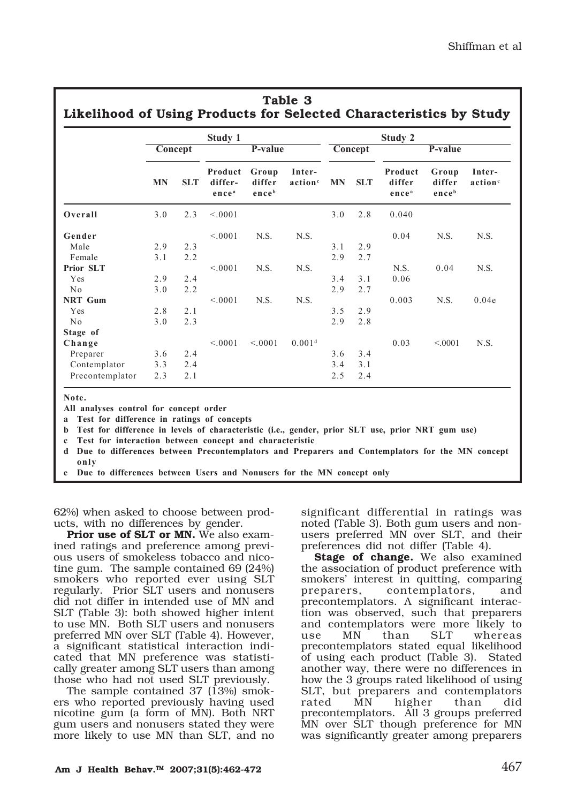|                 | Study 1   |            |                                         |                          |                               | Study 2   |            |                                        |                          |                               |  |
|-----------------|-----------|------------|-----------------------------------------|--------------------------|-------------------------------|-----------|------------|----------------------------------------|--------------------------|-------------------------------|--|
|                 | Concept   |            | P-value                                 |                          |                               | Concept   |            | P-value                                |                          |                               |  |
|                 | <b>MN</b> | <b>SLT</b> | Product<br>differ-<br>ence <sup>a</sup> | Group<br>differ<br>enceb | Inter-<br>action <sup>c</sup> | <b>MN</b> | <b>SLT</b> | Product<br>differ<br>ence <sup>a</sup> | Group<br>differ<br>enceb | Inter-<br>action <sup>c</sup> |  |
| Overall         | 3.0       | 2.3        | < 0.001                                 |                          |                               | 3.0       | 2.8        | 0.040                                  |                          |                               |  |
| Gender          |           |            | < 0.001                                 | N.S.                     | N.S.                          |           |            | 0.04                                   | N.S.                     | N.S.                          |  |
| Male            | 2.9       | 2.3        |                                         |                          |                               | 3.1       | 2.9        |                                        |                          |                               |  |
| Female          | 3.1       | 2.2        |                                         |                          |                               | 2.9       | 2.7        |                                        |                          |                               |  |
| Prior SLT       |           |            | < 0.001                                 | N.S.                     | N.S.                          |           |            | N.S.                                   | 0.04                     | N.S.                          |  |
| Yes             | 2.9       | 2.4        |                                         |                          |                               | 3.4       | 3.1        | 0.06                                   |                          |                               |  |
| No              | 3.0       | 2.2        |                                         |                          |                               | 2.9       | 2.7        |                                        |                          |                               |  |
| <b>NRT</b> Gum  |           |            | < 0.001                                 | N.S.                     | N.S.                          |           |            | 0.003                                  | N.S.                     | 0.04e                         |  |
| Yes             | 2.8       | 2.1        |                                         |                          |                               | 3.5       | 2.9        |                                        |                          |                               |  |
| No              | 3.0       | 2.3        |                                         |                          |                               | 2.9       | 2.8        |                                        |                          |                               |  |
| Stage of        |           |            |                                         |                          |                               |           |            |                                        |                          |                               |  |
| Change          |           |            | < 0.001                                 | < 0.001                  | 0.001 <sup>d</sup>            |           |            | 0.03                                   | < 0001                   | N.S.                          |  |
| Preparer        | 3.6       | 2.4        |                                         |                          |                               | 3.6       | 3.4        |                                        |                          |                               |  |
| Contemplator    | 3.3       | 2.4        |                                         |                          |                               | 3.4       | 3.1        |                                        |                          |                               |  |
| Precontemplator | 2.3       | 2.1        |                                         |                          |                               | 2.5       | 2.4        |                                        |                          |                               |  |

**a Test for difference in ratings of concepts**

**b Test for difference in levels of characteristic (i.e., gender, prior SLT use, prior NRT gum use)**

**c Test for interaction between concept and characteristic**

**d Due to differences between Precontemplators and Preparers and Contemplators for the MN concept only**

**e Due to differences between Users and Nonusers for the MN concept only**

62%) when asked to choose between products, with no differences by gender.

**Prior use of SLT or MN.** We also examined ratings and preference among previous users of smokeless tobacco and nicotine gum. The sample contained 69 (24%) smokers who reported ever using SLT regularly. Prior SLT users and nonusers did not differ in intended use of MN and SLT (Table 3): both showed higher intent to use MN. Both SLT users and nonusers preferred MN over SLT (Table 4). However, a significant statistical interaction indicated that MN preference was statistically greater among SLT users than among those who had not used SLT previously.

The sample contained 37 (13%) smokers who reported previously having used nicotine gum (a form of MN). Both NRT gum users and nonusers stated they were more likely to use MN than SLT, and no

significant differential in ratings was noted (Table 3). Both gum users and nonusers preferred MN over SLT, and their preferences did not differ (Table 4).

**Stage of change.** We also examined the association of product preference with smokers' interest in quitting, comparing preparers, contemplators, and precontemplators. A significant interaction was observed, such that preparers and contemplators were more likely to use MN than SLT whereas precontemplators stated equal likelihood of using each product (Table 3). Stated another way, there were no differences in how the 3 groups rated likelihood of using SLT, but preparers and contemplators rated MN higher than did precontemplators. All 3 groups preferred MN over SLT though preference for MN was significantly greater among preparers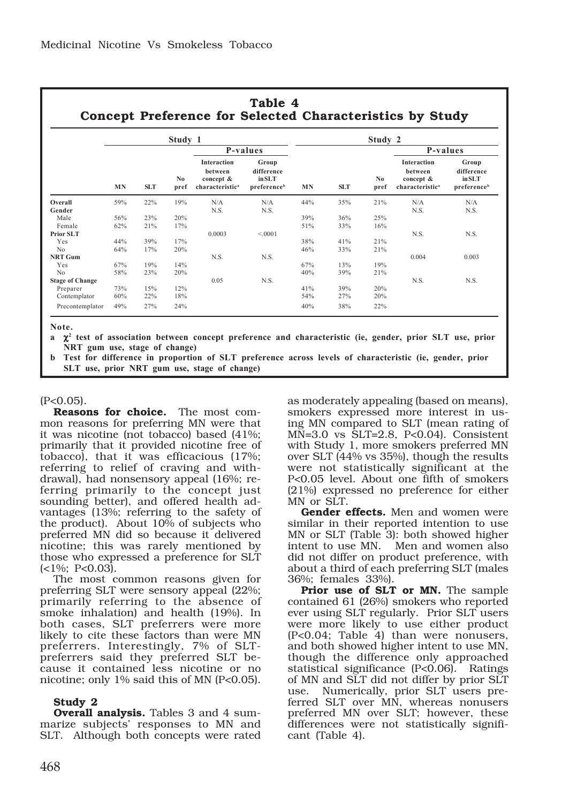|                        | Study 1   |                 |                        |                                                                           |                                              |           | Study 2 |             |                                                                           |                                              |  |  |
|------------------------|-----------|-----------------|------------------------|---------------------------------------------------------------------------|----------------------------------------------|-----------|---------|-------------|---------------------------------------------------------------------------|----------------------------------------------|--|--|
|                        |           |                 | N <sub>0</sub><br>pref | P-values                                                                  |                                              | <b>MN</b> | SLT.    | No.<br>pref | P-values                                                                  |                                              |  |  |
|                        | <b>MN</b> | SLT <sub></sub> |                        | <b>Interaction</b><br>hetween<br>concept &<br>characteristic <sup>a</sup> | Group<br>difference<br>in SLT<br>preferenceb |           |         |             | <b>Interaction</b><br>hetween<br>concept &<br>characteristic <sup>a</sup> | Group<br>difference<br>in SLT<br>preferenceb |  |  |
| Overall<br>Gender      | 59%       | 22%             | 19%                    | N/A<br>N.S.                                                               | N/A<br>N.S.                                  | 44%       | 35%     | 21%         | N/A<br>N.S.                                                               | N/A<br>N.S.                                  |  |  |
| Male                   | 56%       | 23%             | 20%                    |                                                                           |                                              | 39%       | 36%     | 25%         |                                                                           |                                              |  |  |
| Female                 | 62%       | 21%             | 17%                    |                                                                           |                                              | 51%       | 33%     | 16%         |                                                                           |                                              |  |  |
| <b>Prior SLT</b>       |           |                 |                        | 0.0003                                                                    | ${}_{0.001}$                                 |           |         |             | N.S.                                                                      | N.S.                                         |  |  |
| Yes                    | 44%       | 39%             | 17%                    |                                                                           |                                              | 38%       | 41%     | 21%         |                                                                           |                                              |  |  |
| N <sub>0</sub>         | 64%       | 17%             | 20%                    |                                                                           |                                              | 46%       | 33%     | 21%         |                                                                           |                                              |  |  |
| NRT Gum                |           |                 |                        | N.S.                                                                      | N.S.                                         |           |         |             | 0.004                                                                     | 0.003                                        |  |  |
| Yes                    | 67%       | 19%             | 14%                    |                                                                           |                                              | 67%       | 13%     | 19%         |                                                                           |                                              |  |  |
| N <sub>0</sub>         | 58%       | 23%             | 20%                    |                                                                           |                                              | 40%       | 39%     | 21%         |                                                                           |                                              |  |  |
| <b>Stage of Change</b> |           |                 |                        | 0.05                                                                      | N.S.                                         |           |         |             | N.S.                                                                      | N.S.                                         |  |  |
| Preparer               | 73%       | 15%             | 12%                    |                                                                           |                                              | 41%       | 39%     | 20%         |                                                                           |                                              |  |  |
| Contemplator           | 60%       | 22%             | 18%                    |                                                                           |                                              | 54%       | 27%     | 20%         |                                                                           |                                              |  |  |
| Precontemplator        | 49%       | 27%             | 24%                    |                                                                           |                                              | 40%       | 38%     | 22%         |                                                                           |                                              |  |  |

**Note.**

**a** χ**<sup>2</sup> test of association between concept preference and characteristic (ie, gender, prior SLT use, prior NRT gum use, stage of change)**

**b Test for difference in proportion of SLT preference across levels of characteristic (ie, gender, prior SLT use, prior NRT gum use, stage of change)**

#### $(P<0.05)$ .

**Reasons for choice.** The most common reasons for preferring MN were that it was nicotine (not tobacco) based (41%; primarily that it provided nicotine free of tobacco), that it was efficacious (17%; referring to relief of craving and withdrawal), had nonsensory appeal (16%; referring primarily to the concept just sounding better), and offered health advantages (13%; referring to the safety of the product). About 10% of subjects who preferred MN did so because it delivered nicotine; this was rarely mentioned by those who expressed a preference for SLT  $\left( <1\%;\right.$  P $< 0.03$ ).

The most common reasons given for preferring SLT were sensory appeal (22%; primarily referring to the absence of smoke inhalation) and health (19%). In both cases, SLT preferrers were more likely to cite these factors than were MN preferrers. Interestingly, 7% of SLTpreferrers said they preferred SLT because it contained less nicotine or no nicotine; only 1% said this of MN (P<0.05).

### **Study 2**

**Overall analysis.** Tables 3 and 4 summarize subjects' responses to MN and SLT. Although both concepts were rated as moderately appealing (based on means), smokers expressed more interest in using MN compared to SLT (mean rating of MN=3.0 vs SLT=2.8, P<0.04). Consistent with Study 1, more smokers preferred MN over SLT (44% vs 35%), though the results were not statistically significant at the P<0.05 level. About one fifth of smokers (21%) expressed no preference for either MN or SLT.

**Gender effects.** Men and women were similar in their reported intention to use MN or SLT (Table 3): both showed higher intent to use MN. Men and women also did not differ on product preference, with about a third of each preferring SLT (males 36%; females 33%).

**Prior use of SLT or MN.** The sample contained 61 (26%) smokers who reported ever using SLT regularly. Prior SLT users were more likely to use either product (P<0.04; Table 4) than were nonusers, and both showed higher intent to use MN, though the difference only approached statistical significance (P<0.06). Ratings of MN and SLT did not differ by prior SLT use. Numerically, prior SLT users preferred SLT over MN, whereas nonusers preferred MN over SLT; however, these differences were not statistically significant (Table 4).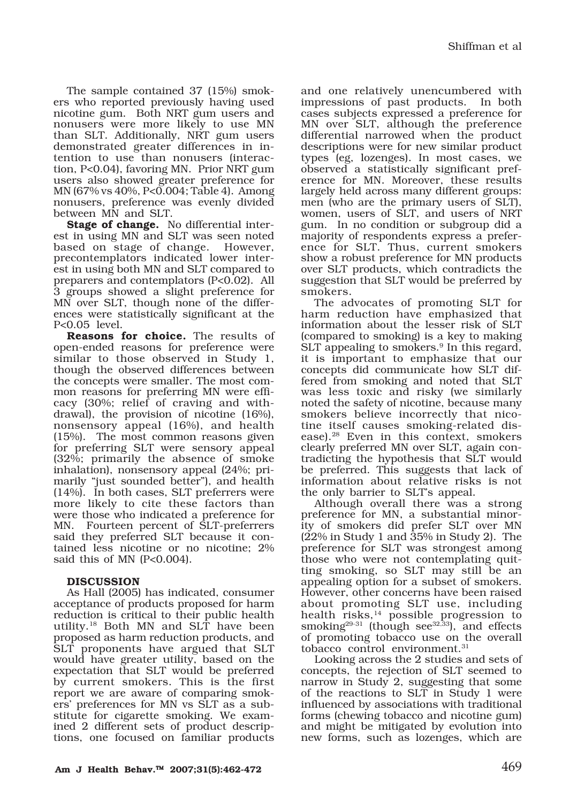The sample contained 37 (15%) smokers who reported previously having used nicotine gum. Both NRT gum users and nonusers were more likely to use MN than SLT. Additionally, NRT gum users demonstrated greater differences in intention to use than nonusers (interaction, P<0.04), favoring MN. Prior NRT gum users also showed greater preference for MN (67% vs 40%, P<0.004; Table 4). Among nonusers, preference was evenly divided between MN and SLT.

**Stage of change.** No differential interest in using MN and SLT was seen noted based on stage of change. However, precontemplators indicated lower interest in using both MN and SLT compared to preparers and contemplators (P<0.02). All 3 groups showed a slight preference for MN over SLT, though none of the differences were statistically significant at the P<0.05 level.

**Reasons for choice.** The results of open-ended reasons for preference were similar to those observed in Study 1, though the observed differences between the concepts were smaller. The most common reasons for preferring MN were efficacy (30%; relief of craving and withdrawal), the provision of nicotine (16%), nonsensory appeal (16%), and health (15%). The most common reasons given for preferring SLT were sensory appeal (32%; primarily the absence of smoke inhalation), nonsensory appeal (24%; primarily "just sounded better"), and health (14%). In both cases, SLT preferrers were more likely to cite these factors than were those who indicated a preference for MN. Fourteen percent of SLT-preferrers said they preferred SLT because it contained less nicotine or no nicotine; 2% said this of MN (P<0.004).

### **DISCUSSION**

As Hall (2005) has indicated, consumer acceptance of products proposed for harm reduction is critical to their public health utility.18 Both MN and SLT have been proposed as harm reduction products, and SLT proponents have argued that SLT would have greater utility, based on the expectation that SLT would be preferred by current smokers. This is the first report we are aware of comparing smokers' preferences for MN vs SLT as a substitute for cigarette smoking. We examined 2 different sets of product descriptions, one focused on familiar products and one relatively unencumbered with impressions of past products. In both cases subjects expressed a preference for MN over SLT, although the preference differential narrowed when the product descriptions were for new similar product types (eg, lozenges). In most cases, we observed a statistically significant preference for MN. Moreover, these results largely held across many different groups: men (who are the primary users of SLT), women, users of SLT, and users of NRT gum. In no condition or subgroup did a majority of respondents express a preference for SLT. Thus, current smokers show a robust preference for MN products over SLT products, which contradicts the suggestion that SLT would be preferred by smokers.

The advocates of promoting SLT for harm reduction have emphasized that information about the lesser risk of SLT (compared to smoking) is a key to making SLT appealing to smokers.<sup>9</sup> In this regard, it is important to emphasize that our concepts did communicate how SLT differed from smoking and noted that SLT was less toxic and risky (we similarly noted the safety of nicotine, because many smokers believe incorrectly that nicotine itself causes smoking-related disease).28 Even in this context, smokers clearly preferred MN over SLT, again contradicting the hypothesis that SLT would be preferred. This suggests that lack of information about relative risks is not the only barrier to SLT's appeal.

Although overall there was a strong preference for MN, a substantial minority of smokers did prefer SLT over MN (22% in Study 1 and 35% in Study 2). The preference for SLT was strongest among those who were not contemplating quitting smoking, so SLT may still be an appealing option for a subset of smokers. However, other concerns have been raised about promoting SLT use, including health risks,<sup>14</sup> possible progression to smoking $29-31$  (though see $32,33$ ), and effects of promoting tobacco use on the overall tobacco control environment.<sup>31</sup>

Looking across the 2 studies and sets of concepts, the rejection of SLT seemed to narrow in Study 2, suggesting that some of the reactions to SLT in Study 1 were influenced by associations with traditional forms (chewing tobacco and nicotine gum) and might be mitigated by evolution into new forms, such as lozenges, which are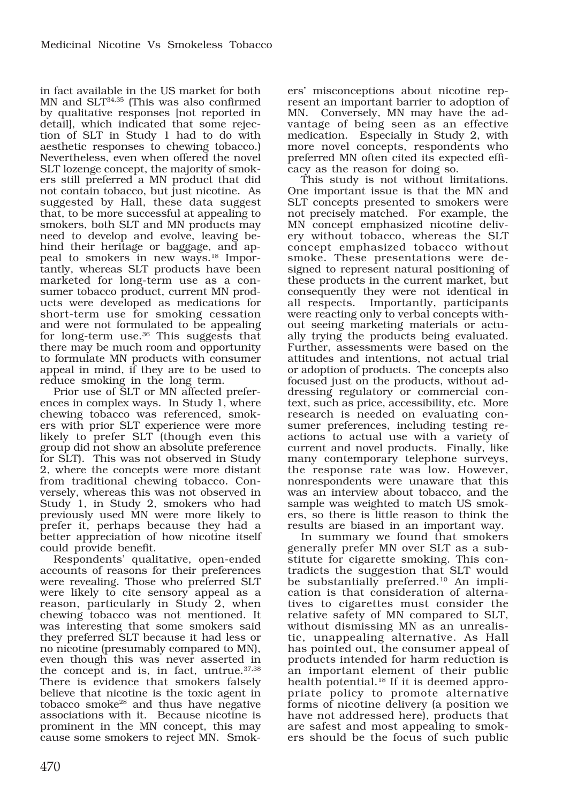in fact available in the US market for both MN and SLT34,35 (This was also confirmed by qualitative responses [not reported in detail], which indicated that some rejection of SLT in Study 1 had to do with aesthetic responses to chewing tobacco.) Nevertheless, even when offered the novel SLT lozenge concept, the majority of smokers still preferred a MN product that did not contain tobacco, but just nicotine. As suggested by Hall, these data suggest that, to be more successful at appealing to smokers, both SLT and MN products may need to develop and evolve, leaving behind their heritage or baggage, and appeal to smokers in new ways.<sup>18</sup> Importantly, whereas SLT products have been marketed for long-term use as a consumer tobacco product, current MN products were developed as medications for short-term use for smoking cessation and were not formulated to be appealing for long-term use.<sup>36</sup> This suggests that there may be much room and opportunity to formulate MN products with consumer appeal in mind, if they are to be used to reduce smoking in the long term.

Prior use of SLT or MN affected preferences in complex ways. In Study 1, where chewing tobacco was referenced, smokers with prior SLT experience were more likely to prefer SLT (though even this group did not show an absolute preference for SLT). This was not observed in Study 2, where the concepts were more distant from traditional chewing tobacco. Conversely, whereas this was not observed in Study 1, in Study 2, smokers who had previously used MN were more likely to prefer it, perhaps because they had a better appreciation of how nicotine itself could provide benefit.

Respondents' qualitative, open-ended accounts of reasons for their preferences were revealing. Those who preferred SLT were likely to cite sensory appeal as a reason, particularly in Study 2, when chewing tobacco was not mentioned. It was interesting that some smokers said they preferred SLT because it had less or no nicotine (presumably compared to MN), even though this was never asserted in the concept and is, in fact, untrue.37,38 There is evidence that smokers falsely believe that nicotine is the toxic agent in tobacco smoke<sup>28</sup> and thus have negative associations with it. Because nicotine is prominent in the MN concept, this may cause some smokers to reject MN. Smokers' misconceptions about nicotine represent an important barrier to adoption of MN. Conversely, MN may have the advantage of being seen as an effective medication. Especially in Study 2, with more novel concepts, respondents who preferred MN often cited its expected efficacy as the reason for doing so.

This study is not without limitations. One important issue is that the MN and SLT concepts presented to smokers were not precisely matched. For example, the MN concept emphasized nicotine delivery without tobacco, whereas the SLT concept emphasized tobacco without smoke. These presentations were designed to represent natural positioning of these products in the current market, but consequently they were not identical in all respects. Importantly, participants were reacting only to verbal concepts without seeing marketing materials or actually trying the products being evaluated. Further, assessments were based on the attitudes and intentions, not actual trial or adoption of products. The concepts also focused just on the products, without addressing regulatory or commercial context, such as price, accessibility, etc. More research is needed on evaluating consumer preferences, including testing reactions to actual use with a variety of current and novel products. Finally, like many contemporary telephone surveys, the response rate was low. However, nonrespondents were unaware that this was an interview about tobacco, and the sample was weighted to match US smokers, so there is little reason to think the results are biased in an important way.

In summary we found that smokers generally prefer MN over SLT as a substitute for cigarette smoking. This contradicts the suggestion that SLT would be substantially preferred.10 An implication is that consideration of alternatives to cigarettes must consider the relative safety of MN compared to SLT, without dismissing MN as an unrealistic, unappealing alternative. As Hall has pointed out, the consumer appeal of products intended for harm reduction is an important element of their public health potential.<sup>18</sup> If it is deemed appropriate policy to promote alternative forms of nicotine delivery (a position we have not addressed here), products that are safest and most appealing to smokers should be the focus of such public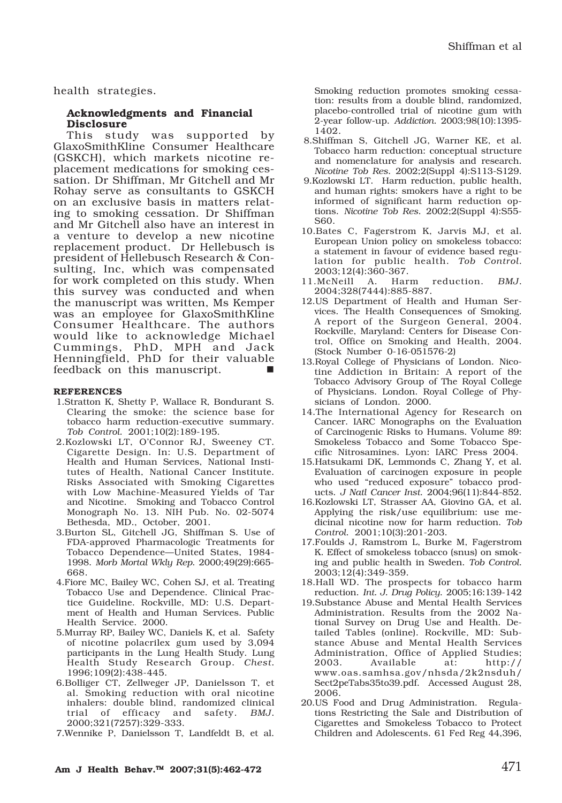health strategies.

#### **Acknowledgments and Financial Disclosure**

This study was supported by GlaxoSmithKline Consumer Healthcare (GSKCH), which markets nicotine replacement medications for smoking cessation. Dr Shiffman, Mr Gitchell and Mr Rohay serve as consultants to GSKCH on an exclusive basis in matters relating to smoking cessation. Dr Shiffman and Mr Gitchell also have an interest in a venture to develop a new nicotine replacement product. Dr Hellebusch is president of Hellebusch Research & Consulting, Inc, which was compensated for work completed on this study. When this survey was conducted and when the manuscript was written, Ms Kemper was an employee for GlaxoSmithKline Consumer Healthcare. The authors would like to acknowledge Michael Cummings, PhD, MPH and Jack Henningfield, PhD for their valuable feedback on this manuscript.

#### **REFERENCES**

- 1.Stratton K, Shetty P, Wallace R, Bondurant S. Clearing the smoke: the science base for tobacco harm reduction-executive summary. *Tob Control*. 2001;10(2):189-195.
- 2.Kozlowski LT, O'Connor RJ, Sweeney CT. Cigarette Design. In: U.S. Department of Health and Human Services, National Institutes of Health, National Cancer Institute. Risks Associated with Smoking Cigarettes with Low Machine-Measured Yields of Tar and Nicotine. Smoking and Tobacco Control Monograph No. 13. NIH Pub. No. 02-5074 Bethesda, MD., October, 2001.
- 3.Burton SL, Gitchell JG, Shiffman S. Use of FDA-approved Pharmacologic Treatments for Tobacco Dependence—United States, 1984- 1998. *Morb Mortal Wkly Rep*. 2000;49(29):665- 668.
- 4.Fiore MC, Bailey WC, Cohen SJ, et al. Treating Tobacco Use and Dependence. Clinical Practice Guideline. Rockville, MD: U.S. Department of Health and Human Services. Public Health Service. 2000.
- 5.Murray RP, Bailey WC, Daniels K, et al. Safety of nicotine polacrilex gum used by 3,094 participants in the Lung Health Study. Lung Health Study Research Group. *Chest*. 1996;109(2):438-445.
- 6.Bolliger CT, Zellweger JP, Danielsson T, et al. Smoking reduction with oral nicotine inhalers: double blind, randomized clinical trial of efficacy and safety. *BMJ*. 2000;321(7257):329-333.
- 7.Wennike P, Danielsson T, Landfeldt B, et al.

Smoking reduction promotes smoking cessation: results from a double blind, randomized, placebo-controlled trial of nicotine gum with 2-year follow-up. *Addiction*. 2003;98(10):1395- 1402.

- 8.Shiffman S, Gitchell JG, Warner KE, et al. Tobacco harm reduction: conceptual structure and nomenclature for analysis and research. *Nicotine Tob Res*. 2002;2(Suppl 4):S113-S129.
- 9.Kozlowski LT. Harm reduction, public health, and human rights: smokers have a right to be informed of significant harm reduction options. *Nicotine Tob Res*. 2002;2(Suppl 4):S55- S60.
- 10.Bates C, Fagerstrom K, Jarvis MJ, et al. European Union policy on smokeless tobacco: a statement in favour of evidence based regulation for public health. *Tob Control*. 2003;12(4):360-367.
- 11.McNeill A. Harm reduction. *BMJ*. 2004;328(7444):885-887.
- 12.US Department of Health and Human Services. The Health Consequences of Smoking. A report of the Surgeon General, 2004. Rockville, Maryland: Centers for Disease Control, Office on Smoking and Health, 2004. (Stock Number 0-16-051576-2)
- 13.Royal College of Physicians of London. Nicotine Addiction in Britain: A report of the Tobacco Advisory Group of The Royal College of Physicians. London. Royal College of Physicians of London. 2000.
- 14.The International Agency for Research on Cancer. IARC Monographs on the Evaluation of Carcinogenic Risks to Humans. Volume 89: Smokeless Tobacco and Some Tobacco Specific Nitrosamines. Lyon: IARC Press 2004.
- 15.Hatsukami DK, Lemmonds C, Zhang Y, et al. Evaluation of carcinogen exposure in people who used "reduced exposure" tobacco products. *J Natl Cancer Inst*. 2004;96(11):844-852.
- 16.Kozlowski LT, Strasser AA, Giovino GA, et al. Applying the risk/use equilibrium: use medicinal nicotine now for harm reduction. *Tob Control*. 2001;10(3):201-203.
- 17.Foulds J, Ramstrom L, Burke M, Fagerstrom K. Effect of smokeless tobacco (snus) on smoking and public health in Sweden. *Tob Control*. 2003;12(4):349-359.
- 18.Hall WD. The prospects for tobacco harm reduction. *Int. J. Drug Policy*. 2005;16:139-142
- 19.Substance Abuse and Mental Health Services Administration. Results from the 2002 National Survey on Drug Use and Health. Detailed Tables (online). Rockville, MD: Substance Abuse and Mental Health Services Administration, Office of Applied Studies; 2003. Available at: http:// www.oas.samhsa.gov/nhsda/2k2nsduh/ Sect2peTabs35to39.pdf. Accessed August 28, 2006.
- 20.US Food and Drug Administration. Regulations Restricting the Sale and Distribution of Cigarettes and Smokeless Tobacco to Protect Children and Adolescents. 61 Fed Reg 44,396,